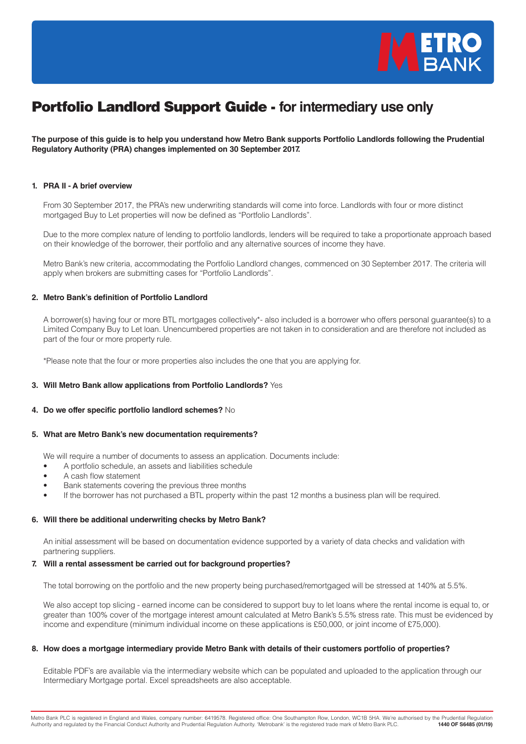

# Portfolio Landlord Support Guide - **for intermediary use only**

**The purpose of this guide is to help you understand how Metro Bank supports Portfolio Landlords following the Prudential Regulatory Authority (PRA) changes implemented on 30 September 2017.**

## **1. PRA II - A brief overview**

From 30 September 2017, the PRA's new underwriting standards will come into force. Landlords with four or more distinct mortgaged Buy to Let properties will now be defined as "Portfolio Landlords".

Due to the more complex nature of lending to portfolio landlords, lenders will be required to take a proportionate approach based on their knowledge of the borrower, their portfolio and any alternative sources of income they have.

Metro Bank's new criteria, accommodating the Portfolio Landlord changes, commenced on 30 September 2017. The criteria will apply when brokers are submitting cases for "Portfolio Landlords".

## **2. Metro Bank's definition of Portfolio Landlord**

A borrower(s) having four or more BTL mortgages collectively\*- also included is a borrower who offers personal guarantee(s) to a Limited Company Buy to Let loan. Unencumbered properties are not taken in to consideration and are therefore not included as part of the four or more property rule.

\*Please note that the four or more properties also includes the one that you are applying for.

## **3. Will Metro Bank allow applications from Portfolio Landlords?** Yes

## **4. Do we offer specific portfolio landlord schemes?** No

#### **5. What are Metro Bank's new documentation requirements?**

We will require a number of documents to assess an application. Documents include:

- A portfolio schedule, an assets and liabilities schedule
- A cash flow statement
- Bank statements covering the previous three months
- If the borrower has not purchased a BTL property within the past 12 months a business plan will be required.

#### **6. Will there be additional underwriting checks by Metro Bank?**

An initial assessment will be based on documentation evidence supported by a variety of data checks and validation with partnering suppliers.

## **7. Will a rental assessment be carried out for background properties?**

The total borrowing on the portfolio and the new property being purchased/remortgaged will be stressed at 140% at 5.5%.

We also accept top slicing - earned income can be considered to support buy to let loans where the rental income is equal to, or greater than 100% cover of the mortgage interest amount calculated at Metro Bank's 5.5% stress rate. This must be evidenced by income and expenditure (minimum individual income on these applications is £50,000, or joint income of £75,000).

## **8. How does a mortgage intermediary provide Metro Bank with details of their customers portfolio of properties?**

Editable PDF's are available via the intermediary website which can be populated and uploaded to the application through our Intermediary Mortgage portal. Excel spreadsheets are also acceptable.